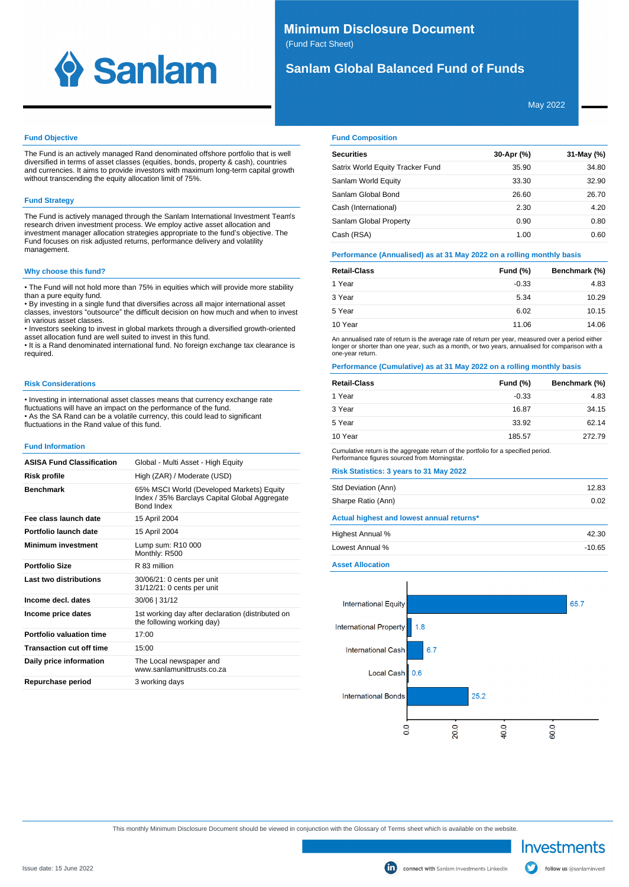

## **Minimum Disclosure Document** (Fund Fact Sheet)

# **Sanlam Global Balanced Fund of Funds**

May 2022

### **Fund Objective**

The Fund is an actively managed Rand denominated offshore portfolio that is well diversified in terms of asset classes (equities, bonds, property & cash), countries and currencies. It aims to provide investors with maximum long-term capital growth without transcending the equity allocation limit of 75%.

## **Fund Strategy**

The Fund is actively managed through the Sanlam International Investment Team's research driven investment process. We employ active asset allocation and investment manager allocation strategies appropriate to the fund's objective. The Fund focuses on risk adjusted returns, performance delivery and volatility management.

## **Why choose this fund?**

• The Fund will not hold more than 75% in equities which will provide more stability than a pure equity fund.

• By investing in a single fund that diversifies across all major international asset classes, investors "outsource" the difficult decision on how much and when to invest in various asset classes.

• Investors seeking to invest in global markets through a diversified growth-oriented asset allocation fund are well suited to invest in this fund.

• It is a Rand denominated international fund. No foreign exchange tax clearance is required.

### **Risk Considerations**

• Investing in international asset classes means that currency exchange rate fluctuations will have an impact on the performance of the fund. • As the SA Rand can be a volatile currency, this could lead to significant fluctuations in the Rand value of this fund.

### **Fund Information**

| <b>ASISA Fund Classification</b> | Global - Multi Asset - High Equity                                                                       |
|----------------------------------|----------------------------------------------------------------------------------------------------------|
| Risk profile                     | High (ZAR) / Moderate (USD)                                                                              |
| <b>Benchmark</b>                 | 65% MSCI World (Developed Markets) Equity<br>Index / 35% Barclays Capital Global Aggregate<br>Bond Index |
| Fee class launch date            | 15 April 2004                                                                                            |
| Portfolio launch date            | 15 April 2004                                                                                            |
| <b>Minimum investment</b>        | Lump sum: R10 000<br>Monthly: R500                                                                       |
| <b>Portfolio Size</b>            | R 83 million                                                                                             |
| Last two distributions           | 30/06/21: 0 cents per unit<br>31/12/21: 0 cents per unit                                                 |
| Income decl. dates               | 30/06   31/12                                                                                            |
| Income price dates               | 1st working day after declaration (distributed on<br>the following working day)                          |
| Portfolio valuation time         | 17:00                                                                                                    |
| <b>Transaction cut off time</b>  | 15:00                                                                                                    |
| Daily price information          | The Local newspaper and<br>www.sanlamunittrusts.co.za                                                    |
| Repurchase period                | 3 working days                                                                                           |

### **Fund Composition**

| <b>Securities</b>                | 30-Apr (%) | 31-May (%) |
|----------------------------------|------------|------------|
| Satrix World Equity Tracker Fund | 35.90      | 34.80      |
| Sanlam World Equity              | 33.30      | 32.90      |
| Sanlam Global Bond               | 26.60      | 26.70      |
| Cash (International)             | 2.30       | 4.20       |
| Sanlam Global Property           | 0.90       | 0.80       |
| Cash (RSA)                       | 1.00       | 0.60       |

## **Performance (Annualised) as at 31 May 2022 on a rolling monthly basis**

| <b>Retail-Class</b> | Fund $(\%)$ | Benchmark (%) |
|---------------------|-------------|---------------|
| 1 Year              | $-0.33$     | 4.83          |
| 3 Year              | 5.34        | 10.29         |
| 5 Year              | 6.02        | 10.15         |
| 10 Year             | 11.06       | 14.06         |

An annualised rate of return is the average rate of return per year, measured over a period either<br>longer or shorter than one year, such as a month, or two years, annualised for comparison with a one-year return.

## **Performance (Cumulative) as at 31 May 2022 on a rolling monthly basis**

| <b>Retail-Class</b> | Fund (%) | Benchmark (%) |
|---------------------|----------|---------------|
| 1 Year              | $-0.33$  | 4.83          |
| 3 Year              | 16.87    | 34.15         |
| 5 Year              | 33.92    | 62.14         |
| 10 Year             | 185.57   | 272.79        |

Cumulative return is the aggregate return of the portfolio for a specified period. Performance figures sourced from Morningstar.

### **Risk Statistics: 3 years to 31 May 2022**

| Std Deviation (Ann)                       | 12.83 |
|-------------------------------------------|-------|
| Sharpe Ratio (Ann)                        | 0.02  |
| Actual highest and lowest annual returns* |       |
| Highest Annual %                          | 42.30 |

| Lowest Annual % | $-10.65$ |
|-----------------|----------|
|                 |          |

**Asset Allocation**



This monthly Minimum Disclosure Document should be viewed in conjunction with the Glossary of Terms sheet which is available on the website.

Investments

follow us @sanlaminvest